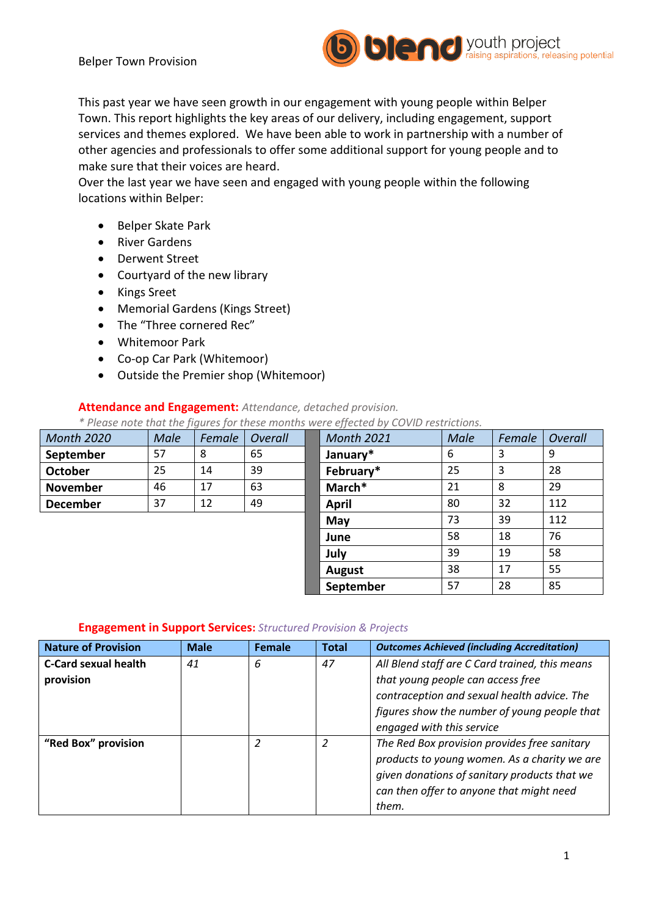

This past year we have seen growth in our engagement with young people within Belper Town. This report highlights the key areas of our delivery, including engagement, support services and themes explored. We have been able to work in partnership with a number of other agencies and professionals to offer some additional support for young people and to make sure that their voices are heard.

Over the last year we have seen and engaged with young people within the following locations within Belper:

- Belper Skate Park
- River Gardens
- Derwent Street
- Courtyard of the new library
- Kings Sreet
- Memorial Gardens (Kings Street)
- The "Three cornered Rec"
- Whitemoor Park
- Co-op Car Park (Whitemoor)
- Outside the Premier shop (Whitemoor)

#### **Attendance and Engagement:** *Attendance, detached provision.*

*\* Please note that the figures for these months were effected by COVID restrictions.* 

| <b>Month 2020</b> | <b>Male</b> | Female | Overall | <b>Month 2021</b> | <b>Male</b> | Female | Overall |
|-------------------|-------------|--------|---------|-------------------|-------------|--------|---------|
| September         | 57          | 8      | 65      | January*          | 6           | 3      | 9       |
| <b>October</b>    | 25          | 14     | 39      | February*         | 25          | 3      | 28      |
| <b>November</b>   | 46          | 17     | 63      | March*            | 21          | 8      | 29      |
| <b>December</b>   | 37          | 12     | 49      | <b>April</b>      | 80          | 32     | 112     |
|                   |             |        |         | May               | 73          | 39     | 112     |
|                   |             |        |         | June              | 58          | 18     | 76      |
|                   |             |        |         | July              | 39          | 19     | 58      |
|                   |             |        |         | <b>August</b>     | 38          | 17     | 55      |
|                   |             |        |         | September         | 57          | 28     | 85      |

#### **Engagement in Support Services:** *Structured Provision & Projects*

| <b>Nature of Provision</b>               | <b>Male</b> | Female | <b>Total</b> | <b>Outcomes Achieved (including Accreditation)</b>                                                                                                                                                              |
|------------------------------------------|-------------|--------|--------------|-----------------------------------------------------------------------------------------------------------------------------------------------------------------------------------------------------------------|
| <b>C-Card sexual health</b><br>provision | 41          | 6      | 47           | All Blend staff are C Card trained, this means<br>that young people can access free<br>contraception and sexual health advice. The<br>figures show the number of young people that<br>engaged with this service |
| "Red Box" provision                      |             | 2      | 2            | The Red Box provision provides free sanitary<br>products to young women. As a charity we are<br>given donations of sanitary products that we<br>can then offer to anyone that might need<br>them.               |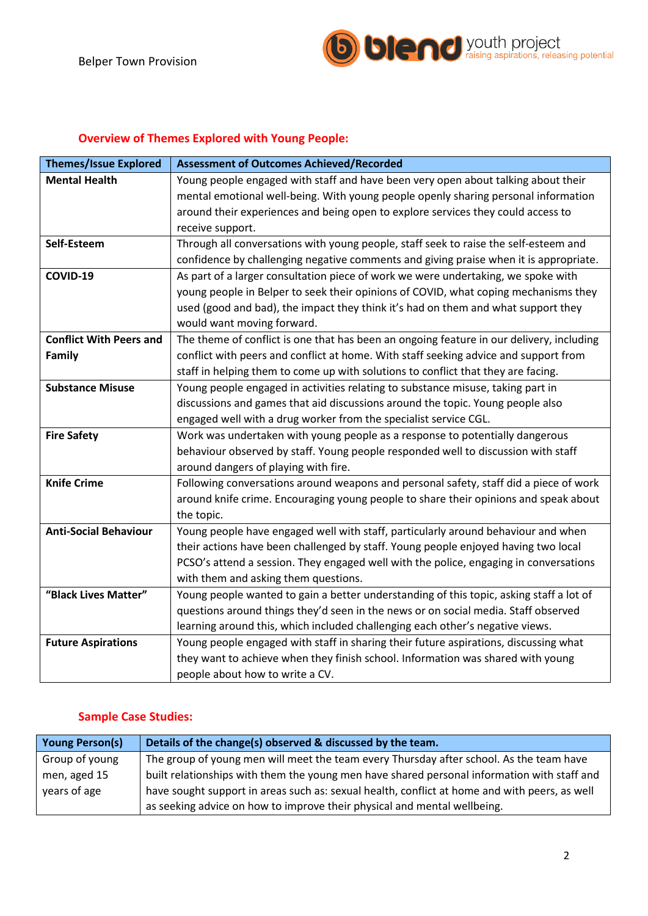

# **Overview of Themes Explored with Young People:**

| <b>Themes/Issue Explored</b>   | <b>Assessment of Outcomes Achieved/Recorded</b>                                          |
|--------------------------------|------------------------------------------------------------------------------------------|
| <b>Mental Health</b>           | Young people engaged with staff and have been very open about talking about their        |
|                                | mental emotional well-being. With young people openly sharing personal information       |
|                                | around their experiences and being open to explore services they could access to         |
|                                | receive support.                                                                         |
| Self-Esteem                    | Through all conversations with young people, staff seek to raise the self-esteem and     |
|                                | confidence by challenging negative comments and giving praise when it is appropriate.    |
| COVID-19                       | As part of a larger consultation piece of work we were undertaking, we spoke with        |
|                                | young people in Belper to seek their opinions of COVID, what coping mechanisms they      |
|                                | used (good and bad), the impact they think it's had on them and what support they        |
|                                | would want moving forward.                                                               |
| <b>Conflict With Peers and</b> | The theme of conflict is one that has been an ongoing feature in our delivery, including |
| Family                         | conflict with peers and conflict at home. With staff seeking advice and support from     |
|                                | staff in helping them to come up with solutions to conflict that they are facing.        |
| <b>Substance Misuse</b>        | Young people engaged in activities relating to substance misuse, taking part in          |
|                                | discussions and games that aid discussions around the topic. Young people also           |
|                                | engaged well with a drug worker from the specialist service CGL.                         |
| <b>Fire Safety</b>             | Work was undertaken with young people as a response to potentially dangerous             |
|                                | behaviour observed by staff. Young people responded well to discussion with staff        |
|                                | around dangers of playing with fire.                                                     |
| <b>Knife Crime</b>             | Following conversations around weapons and personal safety, staff did a piece of work    |
|                                | around knife crime. Encouraging young people to share their opinions and speak about     |
|                                | the topic.                                                                               |
| <b>Anti-Social Behaviour</b>   | Young people have engaged well with staff, particularly around behaviour and when        |
|                                | their actions have been challenged by staff. Young people enjoyed having two local       |
|                                | PCSO's attend a session. They engaged well with the police, engaging in conversations    |
|                                | with them and asking them questions.                                                     |
| "Black Lives Matter"           | Young people wanted to gain a better understanding of this topic, asking staff a lot of  |
|                                | questions around things they'd seen in the news or on social media. Staff observed       |
|                                | learning around this, which included challenging each other's negative views.            |
| <b>Future Aspirations</b>      | Young people engaged with staff in sharing their future aspirations, discussing what     |
|                                | they want to achieve when they finish school. Information was shared with young          |
|                                | people about how to write a CV.                                                          |

# **Sample Case Studies:**

| <b>Young Person(s)</b> | Details of the change(s) observed & discussed by the team.                                    |
|------------------------|-----------------------------------------------------------------------------------------------|
| Group of young         | The group of young men will meet the team every Thursday after school. As the team have       |
| men, aged 15           | built relationships with them the young men have shared personal information with staff and   |
| years of age           | have sought support in areas such as: sexual health, conflict at home and with peers, as well |
|                        | as seeking advice on how to improve their physical and mental wellbeing.                      |